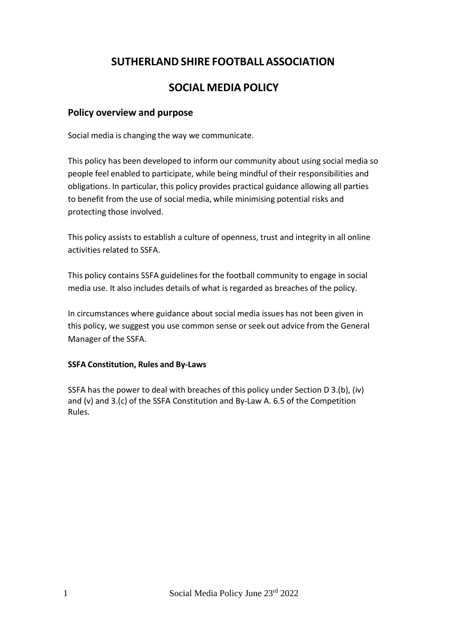# **SUTHERLAND SHIRE FOOTBALL ASSOCIATION**

# **SOCIAL MEDIA POLICY**

# **Policy overview and purpose**

Social media is changing the way we communicate.

This policy has been developed to inform our community about using social media so people feel enabled to participate, while being mindful of their responsibilities and obligations. In particular, this policy provides practical guidance allowing all parties to benefit from the use of social media, while minimising potential risks and protecting those involved.

This policy assists to establish a culture of openness, trust and integrity in all online activities related to SSFA.

This policy contains SSFA guidelines for the football community to engage in social media use. It also includes details of what is regarded as breaches of the policy.

In circumstances where guidance about social media issues has not been given in this policy, we suggest you use common sense or seek out advice from the General Manager of the SSFA.

#### **SSFA Constitution, Rules and By-Laws**

SSFA has the power to deal with breaches of this policy under Section D 3.(b), (iv) and (v) and 3.(c) of the SSFA Constitution and By-Law A. 6.5 of the Competition Rules.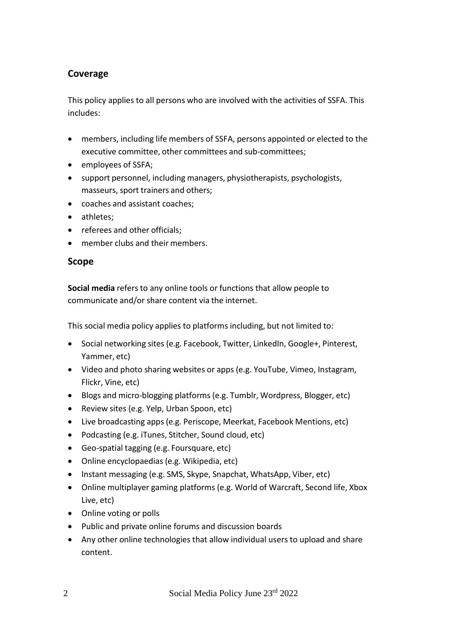# **Coverage**

This policy applies to all persons who are involved with the activities of SSFA. This includes:

- members, including life members of SSFA, persons appointed or elected to the executive committee, other committees and sub-committees;
- employees of SSFA;
- support personnel, including managers, physiotherapists, psychologists, masseurs, sport trainers and others;
- coaches and assistant coaches;
- athletes;
- referees and other officials;
- member clubs and their members.

# **Scope**

**Social media** refers to any online tools or functions that allow people to communicate and/or share content via the internet.

This social media policy applies to platforms including, but not limited to:

- Social networking sites (e.g. Facebook, Twitter, LinkedIn, Google+, Pinterest, Yammer, etc)
- Video and photo sharing websites or apps (e.g. YouTube, Vimeo, Instagram, Flickr, Vine, etc)
- Blogs and micro-blogging platforms (e.g. Tumblr, Wordpress, Blogger, etc)
- Review sites (e.g. Yelp, Urban Spoon, etc)
- Live broadcasting apps (e.g. Periscope, Meerkat, Facebook Mentions, etc)
- Podcasting (e.g. iTunes, Stitcher, Sound cloud, etc)
- Geo-spatial tagging (e.g. Foursquare, etc)
- Online encyclopaedias (e.g. Wikipedia, etc)
- Instant messaging (e.g. SMS, Skype, Snapchat, WhatsApp, Viber, etc)
- Online multiplayer gaming platforms (e.g. World of Warcraft, Second life, Xbox Live, etc)
- Online voting or polls
- Public and private online forums and discussion boards
- Any other online technologies that allow individual users to upload and share content.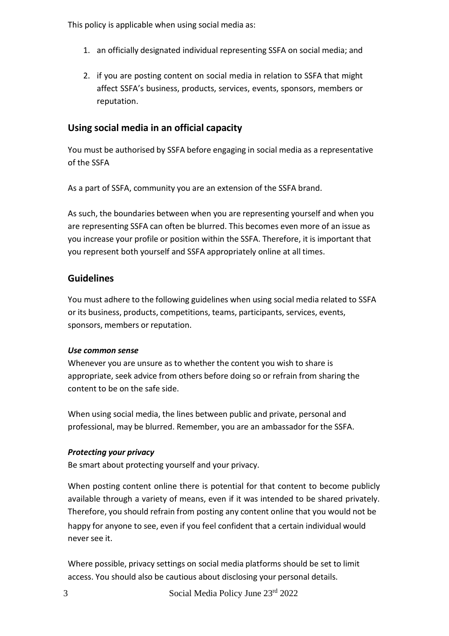This policy is applicable when using social media as:

- 1. an officially designated individual representing SSFA on social media; and
- 2. if you are posting content on social media in relation to SSFA that might affect SSFA's business, products, services, events, sponsors, members or reputation.

# **Using social media in an official capacity**

You must be authorised by SSFA before engaging in social media as a representative of the SSFA

As a part of SSFA, community you are an extension of the SSFA brand.

As such, the boundaries between when you are representing yourself and when you are representing SSFA can often be blurred. This becomes even more of an issue as you increase your profile or position within the SSFA. Therefore, it is important that you represent both yourself and SSFA appropriately online at all times.

# **Guidelines**

You must adhere to the following guidelines when using social media related to SSFA or its business, products, competitions, teams, participants, services, events, sponsors, members or reputation.

# *Use common sense*

Whenever you are unsure as to whether the content you wish to share is appropriate, seek advice from others before doing so or refrain from sharing the content to be on the safe side.

When using social media, the lines between public and private, personal and professional, may be blurred. Remember, you are an ambassador for the SSFA.

# *Protecting your privacy*

Be smart about protecting yourself and your privacy.

When posting content online there is potential for that content to become publicly available through a variety of means, even if it was intended to be shared privately. Therefore, you should refrain from posting any content online that you would not be happy for anyone to see, even if you feel confident that a certain individual would never see it.

Where possible, privacy settings on social media platforms should be set to limit access. You should also be cautious about disclosing your personal details.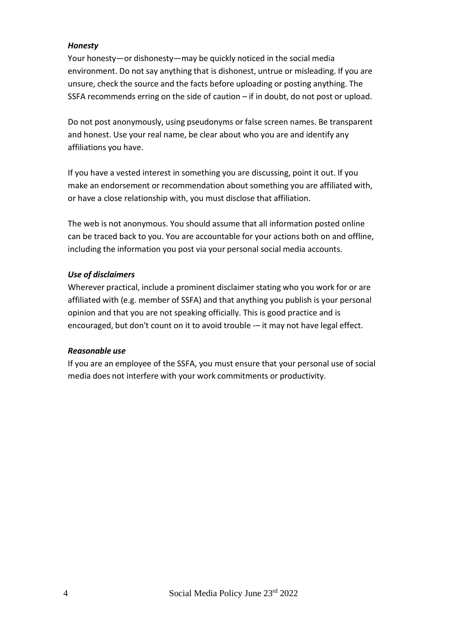#### *Honesty*

Your honesty—or dishonesty—may be quickly noticed in the social media environment. Do not say anything that is dishonest, untrue or misleading. If you are unsure, check the source and the facts before uploading or posting anything. The SSFA recommends erring on the side of caution – if in doubt, do not post or upload.

Do not post anonymously, using pseudonyms or false screen names. Be transparent and honest. Use your real name, be clear about who you are and identify any affiliations you have.

If you have a vested interest in something you are discussing, point it out. If you make an endorsement or recommendation about something you are affiliated with, or have a close relationship with, you must disclose that affiliation.

The web is not anonymous. You should assume that all information posted online can be traced back to you. You are accountable for your actions both on and offline, including the information you post via your personal social media accounts.

#### *Use of disclaimers*

Wherever practical, include a prominent disclaimer stating who you work for or are affiliated with (e.g. member of SSFA) and that anything you publish is your personal opinion and that you are not speaking officially. This is good practice and is encouraged, but don't count on it to avoid trouble -- it may not have legal effect.

#### *Reasonable use*

If you are an employee of the SSFA, you must ensure that your personal use of social media does not interfere with your work commitments or productivity.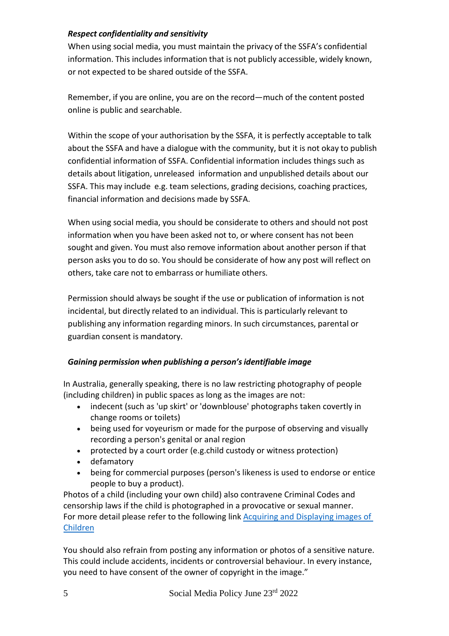#### *Respect confidentiality and sensitivity*

When using social media, you must maintain the privacy of the SSFA's confidential information. This includes information that is not publicly accessible, widely known, or not expected to be shared outside of the SSFA.

Remember, if you are online, you are on the record—much of the content posted online is public and searchable.

Within the scope of your authorisation by the SSFA, it is perfectly acceptable to talk about the SSFA and have a dialogue with the community, but it is not okay to publish confidential information of SSFA. Confidential information includes things such as details about litigation, unreleased information and unpublished details about our SSFA. This may include e.g. team selections, grading decisions, coaching practices, financial information and decisions made by SSFA.

When using social media, you should be considerate to others and should not post information when you have been asked not to, or where consent has not been sought and given. You must also remove information about another person if that person asks you to do so. You should be considerate of how any post will reflect on others, take care not to embarrass or humiliate others.

Permission should always be sought if the use or publication of information is not incidental, but directly related to an individual. This is particularly relevant to publishing any information regarding minors. In such circumstances, parental or guardian consent is mandatory.

# *Gaining permission when publishing a person'sidentifiable image*

In Australia, generally speaking, there is no law restricting photography of people (including children) in public spaces as long as the images are not:

- indecent (such as 'up skirt' or 'downblouse' photographs taken covertly in change rooms or toilets)
- being used for voyeurism or made for the purpose of observing and visually recording a person's genital or anal region
- protected by a court order (e.g.child custody or witness protection)
- defamatory
- being for commercial purposes (person's likeness is used to endorse or entice people to buy a product).

Photos of a child (including your own child) also contravene Criminal Codes and censorship laws if the child is photographed in a provocative or sexual manner. For more detail please refer to the following link [Acquiring and Displaying images of](http://aofc.com.au/juniorfiles/2015%20Acquiring%20Displaying%20Images%20Of%20Children%20V2.pdf)  [Children](http://aofc.com.au/juniorfiles/2015%20Acquiring%20Displaying%20Images%20Of%20Children%20V2.pdf)

You should also refrain from posting any information or photos of a sensitive nature. This could include accidents, incidents or controversial behaviour. In every instance, you need to have consent of the owner of copyright in the image."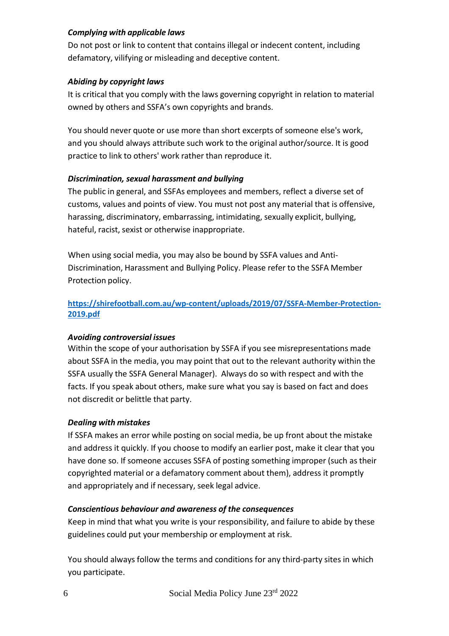#### *Complying with applicable laws*

Do not post or link to content that contains illegal or indecent content, including defamatory, vilifying or misleading and deceptive content.

#### *Abiding by copyright laws*

It is critical that you comply with the laws governing copyright in relation to material owned by others and SSFA's own copyrights and brands.

You should never quote or use more than short excerpts of someone else's work, and you should always attribute such work to the original author/source. It is good practice to link to others' work rather than reproduce it.

### *Discrimination, sexual harassment and bullying*

The public in general, and SSFAs employees and members, reflect a diverse set of customs, values and points of view. You must not post any material that is offensive, harassing, discriminatory, embarrassing, intimidating, sexually explicit, bullying, hateful, racist, sexist or otherwise inappropriate.

When using social media, you may also be bound by SSFA values and Anti-Discrimination, Harassment and Bullying Policy. Please refer to the SSFA Member Protection policy.

# **[https://shirefootball.com.au/wp-content/uploads/2019/07/SSFA-Member-Protection-](https://shirefootball.com.au/wp-content/uploads/2019/07/SSFA-Member-Protection-2019.pdf)[2019.pdf](https://shirefootball.com.au/wp-content/uploads/2019/07/SSFA-Member-Protection-2019.pdf)**

#### *Avoiding controversial issues*

Within the scope of your authorisation by SSFA if you see misrepresentations made about SSFA in the media, you may point that out to the relevant authority within the SSFA usually the SSFA General Manager). Always do so with respect and with the facts. If you speak about others, make sure what you say is based on fact and does not discredit or belittle that party.

# *Dealing with mistakes*

If SSFA makes an error while posting on social media, be up front about the mistake and address it quickly. If you choose to modify an earlier post, make it clear that you have done so. If someone accuses SSFA of posting something improper (such as their copyrighted material or a defamatory comment about them), address it promptly and appropriately and if necessary, seek legal advice.

#### *Conscientious behaviour and awareness of the consequences*

Keep in mind that what you write is your responsibility, and failure to abide by these guidelines could put your membership or employment at risk.

You should always follow the terms and conditions for any third-party sites in which you participate.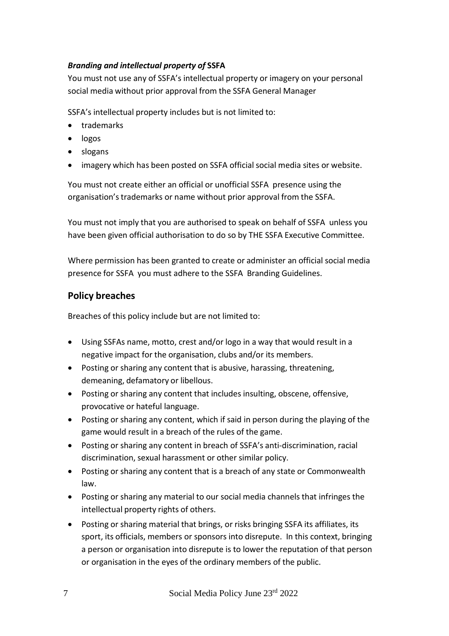# *Branding and intellectual property of* **SSFA**

You must not use any of SSFA's intellectual property or imagery on your personal social media without prior approval from the SSFA General Manager

SSFA's intellectual property includes but is not limited to:

- trademarks
- logos
- slogans
- imagery which has been posted on SSFA official social media sites or website.

You must not create either an official or unofficial SSFA presence using the organisation'strademarks or name without prior approval from the SSFA.

You must not imply that you are authorised to speak on behalf of SSFA unless you have been given official authorisation to do so by THE SSFA Executive Committee.

Where permission has been granted to create or administer an official social media presence for SSFA you must adhere to the SSFA Branding Guidelines.

# **Policy breaches**

Breaches of this policy include but are not limited to:

- Using SSFAs name, motto, crest and/or logo in a way that would result in a negative impact for the organisation, clubs and/or its members.
- Posting or sharing any content that is abusive, harassing, threatening, demeaning, defamatory or libellous.
- Posting or sharing any content that includes insulting, obscene, offensive, provocative or hateful language.
- Posting or sharing any content, which if said in person during the playing of the game would result in a breach of the rules of the game.
- Posting or sharing any content in breach of SSFA's anti-discrimination, racial discrimination, sexual harassment or other similar policy.
- Posting or sharing any content that is a breach of any state or Commonwealth law.
- Posting or sharing any material to our social media channels that infringes the intellectual property rights of others.
- Posting or sharing material that brings, or risks bringing SSFA its affiliates, its sport, its officials, members or sponsors into disrepute. In this context, bringing a person or organisation into disrepute is to lower the reputation of that person or organisation in the eyes of the ordinary members of the public.